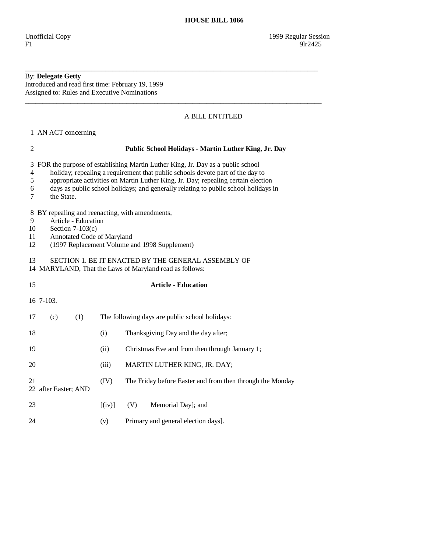## By: **Delegate Getty**

Introduced and read first time: February 19, 1999 Assigned to: Rules and Executive Nominations

## A BILL ENTITLED

1 AN ACT concerning

| $\mathfrak{2}$                                                                                                                                                                                                                                                                                                                                                                                   | Public School Holidays - Martin Luther King, Jr. Day |           |                                                           |  |  |  |  |
|--------------------------------------------------------------------------------------------------------------------------------------------------------------------------------------------------------------------------------------------------------------------------------------------------------------------------------------------------------------------------------------------------|------------------------------------------------------|-----------|-----------------------------------------------------------|--|--|--|--|
| FOR the purpose of establishing Martin Luther King, Jr. Day as a public school<br>3<br>holiday; repealing a requirement that public schools devote part of the day to<br>$\overline{4}$<br>appropriate activities on Martin Luther King, Jr. Day; repealing certain election<br>5<br>days as public school holidays; and generally relating to public school holidays in<br>6<br>7<br>the State. |                                                      |           |                                                           |  |  |  |  |
| BY repealing and reenacting, with amendments,<br>8<br>9<br>Article - Education<br>10<br>Section $7-103(c)$<br>Annotated Code of Maryland<br>11<br>(1997 Replacement Volume and 1998 Supplement)<br>12                                                                                                                                                                                            |                                                      |           |                                                           |  |  |  |  |
| SECTION 1. BE IT ENACTED BY THE GENERAL ASSEMBLY OF<br>13<br>14 MARYLAND, That the Laws of Maryland read as follows:                                                                                                                                                                                                                                                                             |                                                      |           |                                                           |  |  |  |  |
| 15                                                                                                                                                                                                                                                                                                                                                                                               |                                                      |           | <b>Article - Education</b>                                |  |  |  |  |
| 16 7-103.                                                                                                                                                                                                                                                                                                                                                                                        |                                                      |           |                                                           |  |  |  |  |
| (c)<br>17                                                                                                                                                                                                                                                                                                                                                                                        | (1)                                                  |           | The following days are public school holidays:            |  |  |  |  |
| 18                                                                                                                                                                                                                                                                                                                                                                                               |                                                      | (i)       | Thanksgiving Day and the day after;                       |  |  |  |  |
| 19                                                                                                                                                                                                                                                                                                                                                                                               |                                                      | (ii)      | Christmas Eve and from then through January 1;            |  |  |  |  |
| 20                                                                                                                                                                                                                                                                                                                                                                                               |                                                      | (iii)     | MARTIN LUTHER KING, JR. DAY;                              |  |  |  |  |
| 21                                                                                                                                                                                                                                                                                                                                                                                               | 22 after Easter; AND                                 | (IV)      | The Friday before Easter and from then through the Monday |  |  |  |  |
| 23                                                                                                                                                                                                                                                                                                                                                                                               |                                                      | $[$ (iv)] | (V)<br>Memorial Day[; and                                 |  |  |  |  |
| 24                                                                                                                                                                                                                                                                                                                                                                                               |                                                      | (v)       | Primary and general election days].                       |  |  |  |  |

\_\_\_\_\_\_\_\_\_\_\_\_\_\_\_\_\_\_\_\_\_\_\_\_\_\_\_\_\_\_\_\_\_\_\_\_\_\_\_\_\_\_\_\_\_\_\_\_\_\_\_\_\_\_\_\_\_\_\_\_\_\_\_\_\_\_\_\_\_\_\_\_\_\_\_\_\_\_\_\_\_\_\_\_

\_\_\_\_\_\_\_\_\_\_\_\_\_\_\_\_\_\_\_\_\_\_\_\_\_\_\_\_\_\_\_\_\_\_\_\_\_\_\_\_\_\_\_\_\_\_\_\_\_\_\_\_\_\_\_\_\_\_\_\_\_\_\_\_\_\_\_\_\_\_\_\_\_\_\_\_\_\_\_\_\_\_\_\_\_